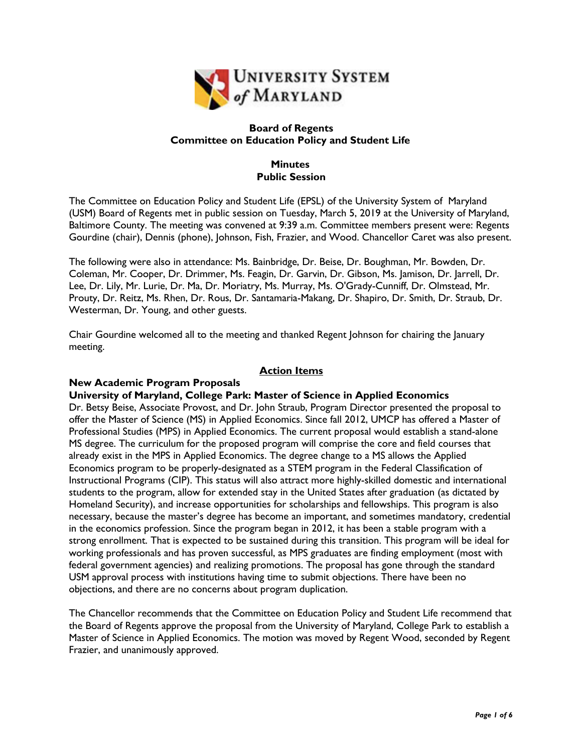

## **Board of Regents Committee on Education Policy and Student Life**

## **Minutes Public Session**

The Committee on Education Policy and Student Life (EPSL) of the University System of Maryland (USM) Board of Regents met in public session on Tuesday, March 5, 2019 at the University of Maryland, Baltimore County. The meeting was convened at 9:39 a.m. Committee members present were: Regents Gourdine (chair), Dennis (phone), Johnson, Fish, Frazier, and Wood. Chancellor Caret was also present.

The following were also in attendance: Ms. Bainbridge, Dr. Beise, Dr. Boughman, Mr. Bowden, Dr. Coleman, Mr. Cooper, Dr. Drimmer, Ms. Feagin, Dr. Garvin, Dr. Gibson, Ms. Jamison, Dr. Jarrell, Dr. Lee, Dr. Lily, Mr. Lurie, Dr. Ma, Dr. Moriatry, Ms. Murray, Ms. O'Grady-Cunniff, Dr. Olmstead, Mr. Prouty, Dr. Reitz, Ms. Rhen, Dr. Rous, Dr. Santamaria-Makang, Dr. Shapiro, Dr. Smith, Dr. Straub, Dr. Westerman, Dr. Young, and other guests.

Chair Gourdine welcomed all to the meeting and thanked Regent Johnson for chairing the January meeting.

# **Action Items**

### **New Academic Program Proposals**

### **University of Maryland, College Park: Master of Science in Applied Economics**

Dr. Betsy Beise, Associate Provost, and Dr. John Straub, Program Director presented the proposal to offer the Master of Science (MS) in Applied Economics. Since fall 2012, UMCP has offered a Master of Professional Studies (MPS) in Applied Economics. The current proposal would establish a stand-alone MS degree. The curriculum for the proposed program will comprise the core and field courses that already exist in the MPS in Applied Economics. The degree change to a MS allows the Applied Economics program to be properly-designated as a STEM program in the Federal Classification of Instructional Programs (CIP). This status will also attract more highly-skilled domestic and international students to the program, allow for extended stay in the United States after graduation (as dictated by Homeland Security), and increase opportunities for scholarships and fellowships. This program is also necessary, because the master's degree has become an important, and sometimes mandatory, credential in the economics profession. Since the program began in 2012, it has been a stable program with a strong enrollment. That is expected to be sustained during this transition. This program will be ideal for working professionals and has proven successful, as MPS graduates are finding employment (most with federal government agencies) and realizing promotions. The proposal has gone through the standard USM approval process with institutions having time to submit objections. There have been no objections, and there are no concerns about program duplication.

The Chancellor recommends that the Committee on Education Policy and Student Life recommend that the Board of Regents approve the proposal from the University of Maryland, College Park to establish a Master of Science in Applied Economics. The motion was moved by Regent Wood, seconded by Regent Frazier, and unanimously approved.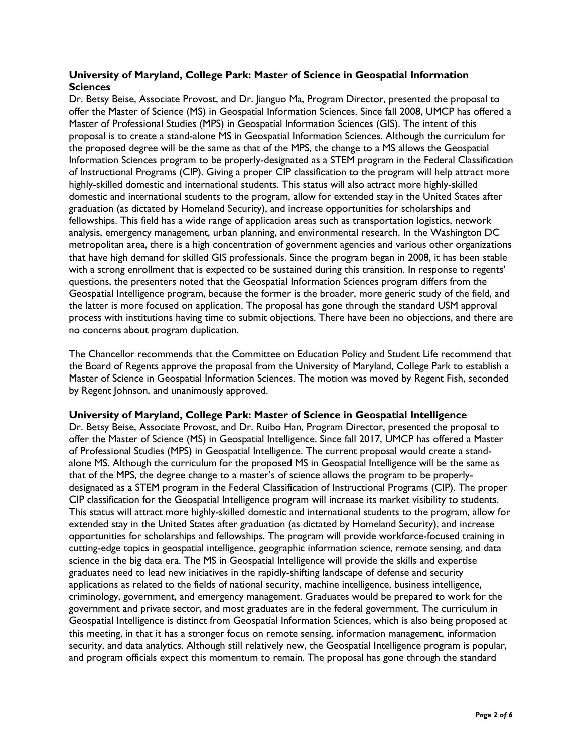## **University of Maryland, College Park: Master of Science in Geospatial Information Sciences**

Dr. Betsy Beise, Associate Provost, and Dr. Jianguo Ma, Program Director, presented the proposal to offer the Master of Science (MS) in Geospatial Information Sciences. Since fall 2008, UMCP has offered a Master of Professional Studies (MPS) in Geospatial Information Sciences (GIS). The intent of this proposal is to create a stand-alone MS in Geospatial Information Sciences. Although the curriculum for the proposed degree will be the same as that of the MPS, the change to a MS allows the Geospatial Information Sciences program to be properly-designated as a STEM program in the Federal Classification of Instructional Programs (CIP). Giving a proper CIP classification to the program will help attract more highly-skilled domestic and international students. This status will also attract more highly-skilled domestic and international students to the program, allow for extended stay in the United States after graduation (as dictated by Homeland Security), and increase opportunities for scholarships and fellowships. This field has a wide range of application areas such as transportation logistics, network analysis, emergency management, urban planning, and environmental research. In the Washington DC metropolitan area, there is a high concentration of government agencies and various other organizations that have high demand for skilled GIS professionals. Since the program began in 2008, it has been stable with a strong enrollment that is expected to be sustained during this transition. In response to regents' questions, the presenters noted that the Geospatial Information Sciences program differs from the Geospatial Intelligence program, because the former is the broader, more generic study of the field, and the latter is more focused on application. The proposal has gone through the standard USM approval process with institutions having time to submit objections. There have been no objections, and there are no concerns about program duplication.

The Chancellor recommends that the Committee on Education Policy and Student Life recommend that the Board of Regents approve the proposal from the University of Maryland, College Park to establish a Master of Science in Geospatial Information Sciences. The motion was moved by Regent Fish, seconded by Regent Johnson, and unanimously approved.

### **University of Maryland, College Park: Master of Science in Geospatial Intelligence**

Dr. Betsy Beise, Associate Provost, and Dr. Ruibo Han, Program Director, presented the proposal to offer the Master of Science (MS) in Geospatial Intelligence. Since fall 2017, UMCP has offered a Master of Professional Studies (MPS) in Geospatial Intelligence. The current proposal would create a standalone MS. Although the curriculum for the proposed MS in Geospatial Intelligence will be the same as that of the MPS, the degree change to a master's of science allows the program to be properlydesignated as a STEM program in the Federal Classification of Instructional Programs (CIP). The proper CIP classification for the Geospatial Intelligence program will increase its market visibility to students. This status will attract more highly-skilled domestic and international students to the program, allow for extended stay in the United States after graduation (as dictated by Homeland Security), and increase opportunities for scholarships and fellowships. The program will provide workforce-focused training in cutting-edge topics in geospatial intelligence, geographic information science, remote sensing, and data science in the big data era. The MS in Geospatial Intelligence will provide the skills and expertise graduates need to lead new initiatives in the rapidly-shifting landscape of defense and security applications as related to the fields of national security, machine intelligence, business intelligence, criminology, government, and emergency management. Graduates would be prepared to work for the government and private sector, and most graduates are in the federal government. The curriculum in Geospatial Intelligence is distinct from Geospatial Information Sciences, which is also being proposed at this meeting, in that it has a stronger focus on remote sensing, information management, information security, and data analytics. Although still relatively new, the Geospatial Intelligence program is popular, and program officials expect this momentum to remain. The proposal has gone through the standard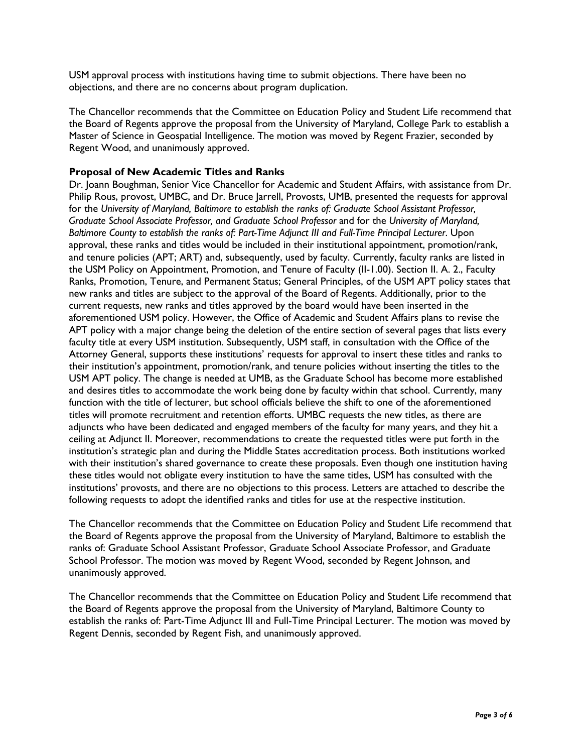USM approval process with institutions having time to submit objections. There have been no objections, and there are no concerns about program duplication.

The Chancellor recommends that the Committee on Education Policy and Student Life recommend that the Board of Regents approve the proposal from the University of Maryland, College Park to establish a Master of Science in Geospatial Intelligence. The motion was moved by Regent Frazier, seconded by Regent Wood, and unanimously approved.

### **Proposal of New Academic Titles and Ranks**

Dr. Joann Boughman, Senior Vice Chancellor for Academic and Student Affairs, with assistance from Dr. Philip Rous, provost, UMBC, and Dr. Bruce Jarrell, Provosts, UMB, presented the requests for approval for the *University of Maryland, Baltimore to establish the ranks of: Graduate School Assistant Professor, Graduate School Associate Professor, and Graduate School Professor* and for the *University of Maryland, Baltimore County to establish the ranks of: Part-Time Adjunct III and Full-Time Principal Lecturer*. Upon approval, these ranks and titles would be included in their institutional appointment, promotion/rank, and tenure policies (APT; ART) and, subsequently, used by faculty. Currently, faculty ranks are listed in the USM Policy on Appointment, Promotion, and Tenure of Faculty (II-1.00). Section II. A. 2., Faculty Ranks, Promotion, Tenure, and Permanent Status; General Principles, of the USM APT policy states that new ranks and titles are subject to the approval of the Board of Regents. Additionally, prior to the current requests, new ranks and titles approved by the board would have been inserted in the aforementioned USM policy. However, the Office of Academic and Student Affairs plans to revise the APT policy with a major change being the deletion of the entire section of several pages that lists every faculty title at every USM institution. Subsequently, USM staff, in consultation with the Office of the Attorney General, supports these institutions' requests for approval to insert these titles and ranks to their institution's appointment, promotion/rank, and tenure policies without inserting the titles to the USM APT policy. The change is needed at UMB, as the Graduate School has become more established and desires titles to accommodate the work being done by faculty within that school. Currently, many function with the title of lecturer, but school officials believe the shift to one of the aforementioned titles will promote recruitment and retention efforts. UMBC requests the new titles, as there are adjuncts who have been dedicated and engaged members of the faculty for many years, and they hit a ceiling at Adjunct II. Moreover, recommendations to create the requested titles were put forth in the institution's strategic plan and during the Middle States accreditation process. Both institutions worked with their institution's shared governance to create these proposals. Even though one institution having these titles would not obligate every institution to have the same titles, USM has consulted with the institutions' provosts, and there are no objections to this process. Letters are attached to describe the following requests to adopt the identified ranks and titles for use at the respective institution.

The Chancellor recommends that the Committee on Education Policy and Student Life recommend that the Board of Regents approve the proposal from the University of Maryland, Baltimore to establish the ranks of: Graduate School Assistant Professor, Graduate School Associate Professor, and Graduate School Professor. The motion was moved by Regent Wood, seconded by Regent Johnson, and unanimously approved.

The Chancellor recommends that the Committee on Education Policy and Student Life recommend that the Board of Regents approve the proposal from the University of Maryland, Baltimore County to establish the ranks of: Part-Time Adjunct III and Full-Time Principal Lecturer. The motion was moved by Regent Dennis, seconded by Regent Fish, and unanimously approved.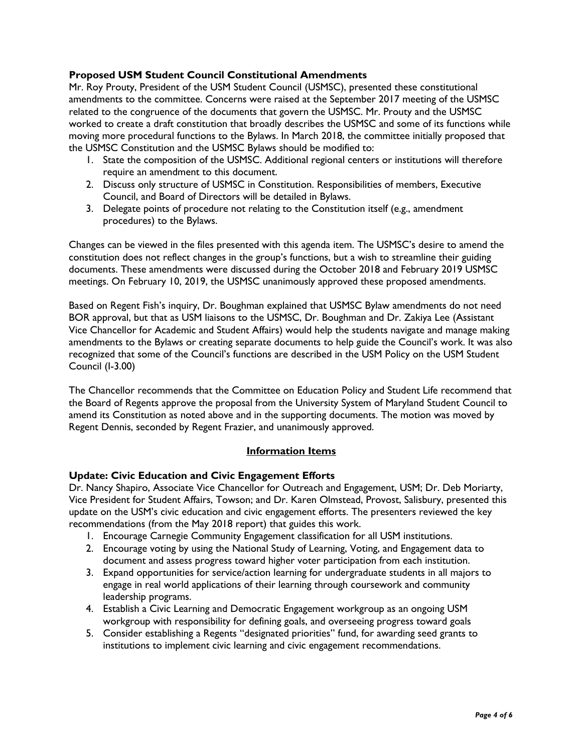## **Proposed USM Student Council Constitutional Amendments**

Mr. Roy Prouty, President of the USM Student Council (USMSC), presented these constitutional amendments to the committee. Concerns were raised at the September 2017 meeting of the USMSC related to the congruence of the documents that govern the USMSC. Mr. Prouty and the USMSC worked to create a draft constitution that broadly describes the USMSC and some of its functions while moving more procedural functions to the Bylaws. In March 2018, the committee initially proposed that the USMSC Constitution and the USMSC Bylaws should be modified to:

- 1. State the composition of the USMSC. Additional regional centers or institutions will therefore require an amendment to this document.
- 2. Discuss only structure of USMSC in Constitution. Responsibilities of members, Executive Council, and Board of Directors will be detailed in Bylaws.
- 3. Delegate points of procedure not relating to the Constitution itself (e.g., amendment procedures) to the Bylaws.

Changes can be viewed in the files presented with this agenda item. The USMSC's desire to amend the constitution does not reflect changes in the group's functions, but a wish to streamline their guiding documents. These amendments were discussed during the October 2018 and February 2019 USMSC meetings. On February 10, 2019, the USMSC unanimously approved these proposed amendments.

Based on Regent Fish's inquiry, Dr. Boughman explained that USMSC Bylaw amendments do not need BOR approval, but that as USM liaisons to the USMSC, Dr. Boughman and Dr. Zakiya Lee (Assistant Vice Chancellor for Academic and Student Affairs) would help the students navigate and manage making amendments to the Bylaws or creating separate documents to help guide the Council's work. It was also recognized that some of the Council's functions are described in the USM Policy on the USM Student Council (I-3.00)

The Chancellor recommends that the Committee on Education Policy and Student Life recommend that the Board of Regents approve the proposal from the University System of Maryland Student Council to amend its Constitution as noted above and in the supporting documents. The motion was moved by Regent Dennis, seconded by Regent Frazier, and unanimously approved.

### **Information Items**

### **Update: Civic Education and Civic Engagement Efforts**

Dr. Nancy Shapiro, Associate Vice Chancellor for Outreach and Engagement, USM; Dr. Deb Moriarty, Vice President for Student Affairs, Towson; and Dr. Karen Olmstead, Provost, Salisbury, presented this update on the USM's civic education and civic engagement efforts. The presenters reviewed the key recommendations (from the May 2018 report) that guides this work.

- 1. Encourage Carnegie Community Engagement classification for all USM institutions.
- 2. Encourage voting by using the National Study of Learning, Voting, and Engagement data to document and assess progress toward higher voter participation from each institution.
- 3. Expand opportunities for service/action learning for undergraduate students in all majors to engage in real world applications of their learning through coursework and community leadership programs.
- 4. Establish a Civic Learning and Democratic Engagement workgroup as an ongoing USM workgroup with responsibility for defining goals, and overseeing progress toward goals
- 5. Consider establishing a Regents "designated priorities" fund, for awarding seed grants to institutions to implement civic learning and civic engagement recommendations.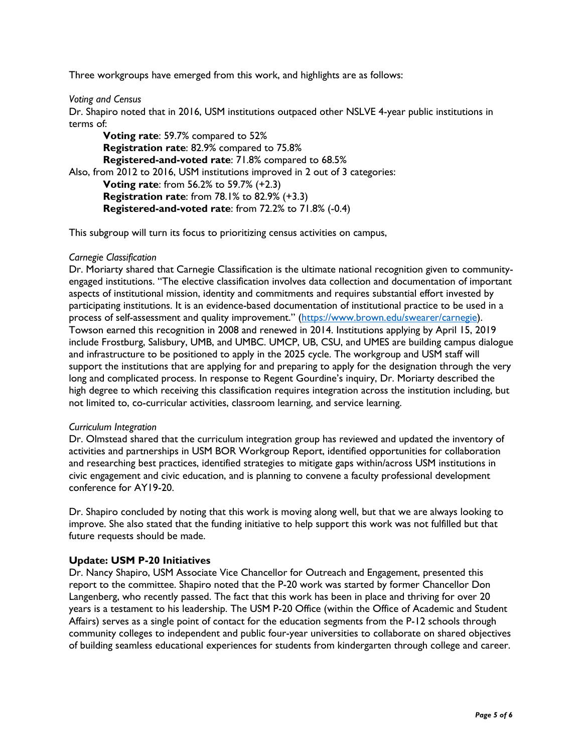Three workgroups have emerged from this work, and highlights are as follows:

*Voting and Census*

Dr. Shapiro noted that in 2016, USM institutions outpaced other NSLVE 4-year public institutions in terms of:

**Voting rate**: 59.7% compared to 52% **Registration rate**: 82.9% compared to 75.8% **Registered-and-voted rate**: 71.8% compared to 68.5% Also, from 2012 to 2016, USM institutions improved in 2 out of 3 categories: **Voting rate**: from 56.2% to 59.7% (+2.3) **Registration rate**: from 78.1% to 82.9% (+3.3) **Registered-and-voted rate**: from 72.2% to 71.8% (-0.4)

This subgroup will turn its focus to prioritizing census activities on campus,

### *Carnegie Classification*

Dr. Moriarty shared that Carnegie Classification is the ultimate national recognition given to communityengaged institutions. "The elective classification involves data collection and documentation of important aspects of institutional mission, identity and commitments and requires substantial effort invested by participating institutions. It is an evidence-based documentation of institutional practice to be used in a process of self-assessment and quality improvement." (https://www.brown.edu/swearer/carnegie). Towson earned this recognition in 2008 and renewed in 2014. Institutions applying by April 15, 2019 include Frostburg, Salisbury, UMB, and UMBC. UMCP, UB, CSU, and UMES are building campus dialogue and infrastructure to be positioned to apply in the 2025 cycle. The workgroup and USM staff will support the institutions that are applying for and preparing to apply for the designation through the very long and complicated process. In response to Regent Gourdine's inquiry, Dr. Moriarty described the high degree to which receiving this classification requires integration across the institution including, but not limited to, co-curricular activities, classroom learning, and service learning.

#### *Curriculum Integration*

Dr. Olmstead shared that the curriculum integration group has reviewed and updated the inventory of activities and partnerships in USM BOR Workgroup Report, identified opportunities for collaboration and researching best practices, identified strategies to mitigate gaps within/across USM institutions in civic engagement and civic education, and is planning to convene a faculty professional development conference for AY19-20.

Dr. Shapiro concluded by noting that this work is moving along well, but that we are always looking to improve. She also stated that the funding initiative to help support this work was not fulfilled but that future requests should be made.

### **Update: USM P-20 Initiatives**

Dr. Nancy Shapiro, USM Associate Vice Chancellor for Outreach and Engagement, presented this report to the committee. Shapiro noted that the P-20 work was started by former Chancellor Don Langenberg, who recently passed. The fact that this work has been in place and thriving for over 20 years is a testament to his leadership. The USM P-20 Office (within the Office of Academic and Student Affairs) serves as a single point of contact for the education segments from the P-12 schools through community colleges to independent and public four-year universities to collaborate on shared objectives of building seamless educational experiences for students from kindergarten through college and career.